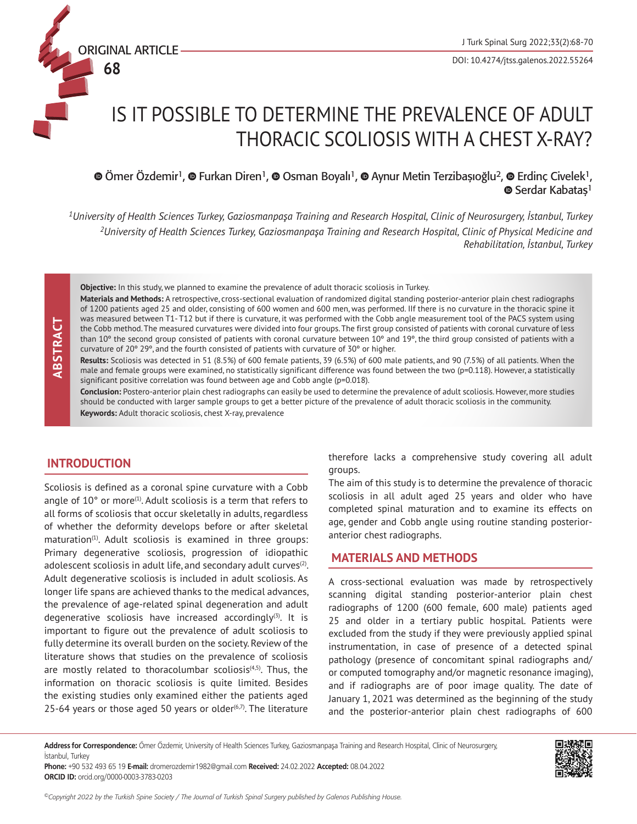# IS IT POSSIBLE TO DETERMINE THE PREVALENCE OF ADULT THORACIC SCOLIOSIS WITH A CHEST X-RAY?

# **TümerÖzdemir<sup>1</sup>, © Furkan Diren<sup>1</sup>, © Osman Boyalı<sup>1</sup>, © Aynur Metin Terzibaşıoğlu<sup>2</sup>, © Erdinç Civelek<sup>1</sup>, Serdar Kabatas**<sup>1</sup>

*<sup>1</sup>University of Health Sciences Turkey, Gaziosmanpaşa Training and Research Hospital, Clinic of Neurosurgery, İstanbul, Turkey <sup>2</sup>University of Health Sciences Turkey, Gaziosmanpaşa Training and Research Hospital, Clinic of Physical Medicine and Rehabilitation, İstanbul, Turkey*

**Objective:** In this study, we planned to examine the prevalence of adult thoracic scoliosis in Turkey.

**Materials and Methods:** A retrospective, cross-sectional evaluation of randomized digital standing posterior-anterior plain chest radiographs of 1200 patients aged 25 and older, consisting of 600 women and 600 men, was performed. IIf there is no curvature in the thoracic spine it was measured between T1- T12 but if there is curvature, it was performed with the Cobb angle measurement tool of the PACS system using the Cobb method. The measured curvatures were divided into four groups. The first group consisted of patients with coronal curvature of less than 10° the second group consisted of patients with coronal curvature between 10° and 19°, the third group consisted of patients with a curvature of 20º 29º, and the fourth consisted of patients with curvature of 30º or higher.

**Results:** Scoliosis was detected in 51 (8.5%) of 600 female patients, 39 (6.5%) of 600 male patients, and 90 (7.5%) of all patients. When the male and female groups were examined, no statistically significant difference was found between the two (p=0.118). However, a statistically significant positive correlation was found between age and Cobb angle (p=0.018).

**Conclusion:** Postero-anterior plain chest radiographs can easily be used to determine the prevalence of adult scoliosis. However, more studies should be conducted with larger sample groups to get a better picture of the prevalence of adult thoracic scoliosis in the community. **Keywords:** Adult thoracic scoliosis, chest X-ray, prevalence

# **INTRODUCTION**

ORIGINAL ARTICLE

**68**

Scoliosis is defined as a coronal spine curvature with a Cobb angle of  $10^{\circ}$  or more<sup>(1)</sup>. Adult scoliosis is a term that refers to all forms of scoliosis that occur skeletally in adults, regardless of whether the deformity develops before or after skeletal maturation<sup>(1)</sup>. Adult scoliosis is examined in three groups: Primary degenerative scoliosis, progression of idiopathic adolescent scoliosis in adult life, and secondary adult curves $(2)$ . Adult degenerative scoliosis is included in adult scoliosis. As longer life spans are achieved thanks to the medical advances, the prevalence of age-related spinal degeneration and adult degenerative scoliosis have increased accordingly $(3)$ . It is important to figure out the prevalence of adult scoliosis to fully determine its overall burden on the society. Review of the literature shows that studies on the prevalence of scoliosis are mostly related to thoracolumbar scoliosis $(4,5)$ . Thus, the information on thoracic scoliosis is quite limited. Besides the existing studies only examined either the patients aged 25-64 years or those aged 50 years or older $(6,7)$ . The literature

therefore lacks a comprehensive study covering all adult groups.

The aim of this study is to determine the prevalence of thoracic scoliosis in all adult aged 25 years and older who have completed spinal maturation and to examine its effects on age, gender and Cobb angle using routine standing posterioranterior chest radiographs.

# **MATERIALS AND METHODS**

A cross-sectional evaluation was made by retrospectively scanning digital standing posterior-anterior plain chest radiographs of 1200 (600 female, 600 male) patients aged 25 and older in a tertiary public hospital. Patients were excluded from the study if they were previously applied spinal instrumentation, in case of presence of a detected spinal pathology (presence of concomitant spinal radiographs and/ or computed tomography and/or magnetic resonance imaging), and if radiographs are of poor image quality. The date of January 1, 2021 was determined as the beginning of the study and the posterior-anterior plain chest radiographs of 600

**Address for Correspondence:** Ömer Özdemir, University of Health Sciences Turkey, Gaziosmanpaşa Training and Research Hospital, Clinic of Neurosurgery, İstanbul, Turkey

**Phone:** +90 532 493 65 19 **E-mail:** dromerozdemir1982@gmail.com **Received:** 24.02.2022 **Accepted:** 08.04.2022 **ORCID ID:** orcid.org/0000-0003-3783-0203

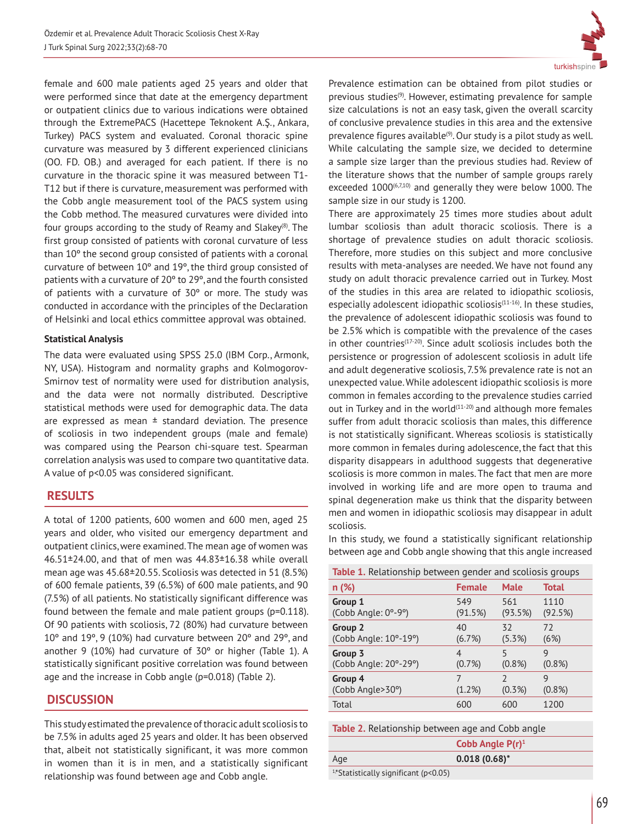female and 600 male patients aged 25 years and older that were performed since that date at the emergency department or outpatient clinics due to various indications were obtained through the ExtremePACS (Hacettepe Teknokent A.Ş., Ankara, Turkey) PACS system and evaluated. Coronal thoracic spine curvature was measured by 3 different experienced clinicians (OO. FD. OB.) and averaged for each patient. If there is no curvature in the thoracic spine it was measured between T1- T12 but if there is curvature, measurement was performed with the Cobb angle measurement tool of the PACS system using the Cobb method. The measured curvatures were divided into four groups according to the study of Reamy and Slakey<sup>(8)</sup>. The first group consisted of patients with coronal curvature of less than 10º the second group consisted of patients with a coronal curvature of between 10º and 19º, the third group consisted of patients with a curvature of 20º to 29º, and the fourth consisted of patients with a curvature of 30º or more. The study was conducted in accordance with the principles of the Declaration of Helsinki and local ethics committee approval was obtained.

### **Statistical Analysis**

The data were evaluated using SPSS 25.0 (IBM Corp., Armonk, NY, USA). Histogram and normality graphs and Kolmogorov-Smirnov test of normality were used for distribution analysis, and the data were not normally distributed. Descriptive statistical methods were used for demographic data. The data are expressed as mean  $\pm$  standard deviation. The presence of scoliosis in two independent groups (male and female) was compared using the Pearson chi-square test. Spearman correlation analysis was used to compare two quantitative data. A value of p<0.05 was considered significant.

# **RESULTS**

A total of 1200 patients, 600 women and 600 men, aged 25 years and older, who visited our emergency department and outpatient clinics, were examined. The mean age of women was 46.51±24.00, and that of men was 44.83±16.38 while overall mean age was 45.68±20.55. Scoliosis was detected in 51 (8.5%) of 600 female patients, 39 (6.5%) of 600 male patients, and 90 (7.5%) of all patients. No statistically significant difference was found between the female and male patient groups (p=0.118). Of 90 patients with scoliosis, 72 (80%) had curvature between 10º and 19º, 9 (10%) had curvature between 20º and 29º, and another 9 (10%) had curvature of 30º or higher (Table 1). A statistically significant positive correlation was found between age and the increase in Cobb angle (p=0.018) (Table 2).

# **DISCUSSION**

This study estimated the prevalence of thoracic adult scoliosis to be 7.5% in adults aged 25 years and older. It has been observed that, albeit not statistically significant, it was more common in women than it is in men, and a statistically significant relationship was found between age and Cobb angle.



Prevalence estimation can be obtained from pilot studies or previous studies<sup>(9)</sup>. However, estimating prevalence for sample size calculations is not an easy task, given the overall scarcity of conclusive prevalence studies in this area and the extensive prevalence figures available<sup>(9)</sup>. Our study is a pilot study as well. While calculating the sample size, we decided to determine a sample size larger than the previous studies had. Review of the literature shows that the number of sample groups rarely exceeded 1000<sup>(6,7,10)</sup> and generally they were below 1000. The sample size in our study is 1200.

There are approximately 25 times more studies about adult lumbar scoliosis than adult thoracic scoliosis. There is a shortage of prevalence studies on adult thoracic scoliosis. Therefore, more studies on this subject and more conclusive results with meta-analyses are needed. We have not found any study on adult thoracic prevalence carried out in Turkey. Most of the studies in this area are related to idiopathic scoliosis, especially adolescent idiopathic scoliosis $(11-16)$ . In these studies, the prevalence of adolescent idiopathic scoliosis was found to be 2.5% which is compatible with the prevalence of the cases in other countries<sup>(17-20)</sup>. Since adult scoliosis includes both the persistence or progression of adolescent scoliosis in adult life and adult degenerative scoliosis, 7.5% prevalence rate is not an unexpected value. While adolescent idiopathic scoliosis is more common in females according to the prevalence studies carried out in Turkey and in the world $(11-20)$  and although more females suffer from adult thoracic scoliosis than males, this difference is not statistically significant. Whereas scoliosis is statistically more common in females during adolescence, the fact that this disparity disappears in adulthood suggests that degenerative scoliosis is more common in males. The fact that men are more involved in working life and are more open to trauma and spinal degeneration make us think that the disparity between men and women in idiopathic scoliosis may disappear in adult scoliosis.

In this study, we found a statistically significant relationship between age and Cobb angle showing that this angle increased

| <b>Table 1.</b> Relationship between gender and scoliosis groups |               |               |              |  |
|------------------------------------------------------------------|---------------|---------------|--------------|--|
| n (%)                                                            | <b>Female</b> | <b>Male</b>   | <b>Total</b> |  |
| Group 1                                                          | 549           | 561           | 1110         |  |
| (Cobb Angle: 0°-9°)                                              | (91.5%)       | (93.5%)       | (92.5%)      |  |
| Group 2                                                          | 40            | 32            | 72           |  |
| (Cobb Angle: 10°-19°)                                            | (6.7%)        | $(5.3\%)$     | (6%)         |  |
| Group 3                                                          | 4             | 5             | 9            |  |
| (Cobb Angle: 20°-29°)                                            | (0.7%)        | $(0.8\%)$     | $(0.8\%)$    |  |
| Group 4                                                          | 7             | $\mathcal{D}$ | 9            |  |
| (Cobb Angle>30°)                                                 | (1.2%)        | $(0.3\%)$     | $(0.8\%)$    |  |
| Total                                                            | 600           | 600           | 1200         |  |

| Table 2. Relationship between age and Cobb angle |  |  |
|--------------------------------------------------|--|--|
|                                                  |  |  |

|                                            | Cobb Angle $P(r)^1$ |
|--------------------------------------------|---------------------|
| Age                                        | $0.018(0.68)^*$     |
| $1 *$ Ctotictically significant (n < 0.05) |                     |

1,\*Statistically significant (p<0.05)